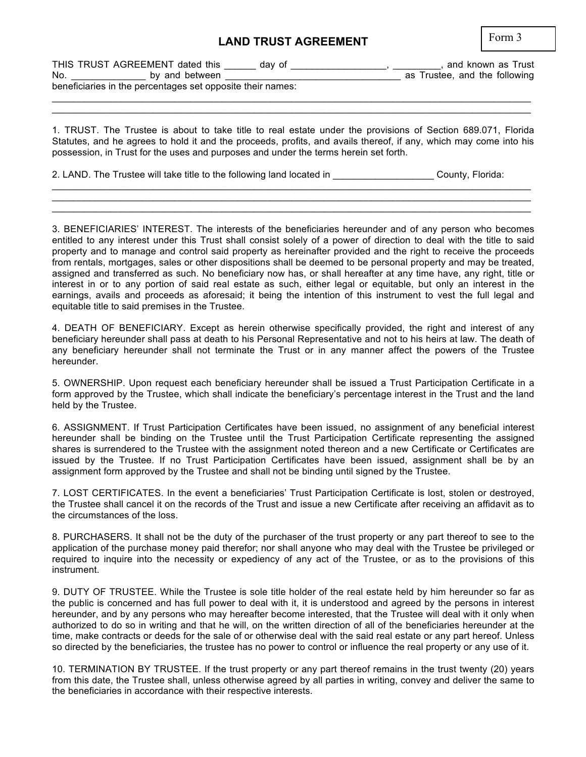## **LAND TRUST AGREEMENT**

| × |  |
|---|--|
|---|--|

| THIS TRUST AGREEMENT dated this                            |                | dav of |  | and known as Trust            |  |
|------------------------------------------------------------|----------------|--------|--|-------------------------------|--|
| No.                                                        | by and between |        |  | as Trustee, and the following |  |
| beneficiaries in the percentages set opposite their names: |                |        |  |                               |  |

 $\mathcal{L}_\mathcal{L} = \mathcal{L}_\mathcal{L} = \mathcal{L}_\mathcal{L} = \mathcal{L}_\mathcal{L} = \mathcal{L}_\mathcal{L} = \mathcal{L}_\mathcal{L} = \mathcal{L}_\mathcal{L} = \mathcal{L}_\mathcal{L} = \mathcal{L}_\mathcal{L} = \mathcal{L}_\mathcal{L} = \mathcal{L}_\mathcal{L} = \mathcal{L}_\mathcal{L} = \mathcal{L}_\mathcal{L} = \mathcal{L}_\mathcal{L} = \mathcal{L}_\mathcal{L} = \mathcal{L}_\mathcal{L} = \mathcal{L}_\mathcal{L}$ 

1. TRUST. The Trustee is about to take title to real estate under the provisions of Section 689.071, Florida Statutes, and he agrees to hold it and the proceeds, profits, and avails thereof, if any, which may come into his possession, in Trust for the uses and purposes and under the terms herein set forth.

 $\mathcal{L}_\mathcal{L} = \mathcal{L}_\mathcal{L} = \mathcal{L}_\mathcal{L} = \mathcal{L}_\mathcal{L} = \mathcal{L}_\mathcal{L} = \mathcal{L}_\mathcal{L} = \mathcal{L}_\mathcal{L} = \mathcal{L}_\mathcal{L} = \mathcal{L}_\mathcal{L} = \mathcal{L}_\mathcal{L} = \mathcal{L}_\mathcal{L} = \mathcal{L}_\mathcal{L} = \mathcal{L}_\mathcal{L} = \mathcal{L}_\mathcal{L} = \mathcal{L}_\mathcal{L} = \mathcal{L}_\mathcal{L} = \mathcal{L}_\mathcal{L}$  $\mathcal{L}_\mathcal{L} = \mathcal{L}_\mathcal{L} = \mathcal{L}_\mathcal{L} = \mathcal{L}_\mathcal{L} = \mathcal{L}_\mathcal{L} = \mathcal{L}_\mathcal{L} = \mathcal{L}_\mathcal{L} = \mathcal{L}_\mathcal{L} = \mathcal{L}_\mathcal{L} = \mathcal{L}_\mathcal{L} = \mathcal{L}_\mathcal{L} = \mathcal{L}_\mathcal{L} = \mathcal{L}_\mathcal{L} = \mathcal{L}_\mathcal{L} = \mathcal{L}_\mathcal{L} = \mathcal{L}_\mathcal{L} = \mathcal{L}_\mathcal{L}$  $\mathcal{L}_\mathcal{L} = \mathcal{L}_\mathcal{L} = \mathcal{L}_\mathcal{L} = \mathcal{L}_\mathcal{L} = \mathcal{L}_\mathcal{L} = \mathcal{L}_\mathcal{L} = \mathcal{L}_\mathcal{L} = \mathcal{L}_\mathcal{L} = \mathcal{L}_\mathcal{L} = \mathcal{L}_\mathcal{L} = \mathcal{L}_\mathcal{L} = \mathcal{L}_\mathcal{L} = \mathcal{L}_\mathcal{L} = \mathcal{L}_\mathcal{L} = \mathcal{L}_\mathcal{L} = \mathcal{L}_\mathcal{L} = \mathcal{L}_\mathcal{L}$ 

2. LAND. The Trustee will take title to the following land located in **Example 2. County, Florida:** 

3. BENEFICIARIES' INTEREST. The interests of the beneficiaries hereunder and of any person who becomes entitled to any interest under this Trust shall consist solely of a power of direction to deal with the title to said property and to manage and control said property as hereinafter provided and the right to receive the proceeds from rentals, mortgages, sales or other dispositions shall be deemed to be personal property and may be treated, assigned and transferred as such. No beneficiary now has, or shall hereafter at any time have, any right, title or interest in or to any portion of said real estate as such, either legal or equitable, but only an interest in the earnings, avails and proceeds as aforesaid; it being the intention of this instrument to vest the full legal and equitable title to said premises in the Trustee.

4. DEATH OF BENEFICIARY. Except as herein otherwise specifically provided, the right and interest of any beneficiary hereunder shall pass at death to his Personal Representative and not to his heirs at law. The death of any beneficiary hereunder shall not terminate the Trust or in any manner affect the powers of the Trustee hereunder.

5. OWNERSHIP. Upon request each beneficiary hereunder shall be issued a Trust Participation Certificate in a form approved by the Trustee, which shall indicate the beneficiary's percentage interest in the Trust and the land held by the Trustee.

6. ASSIGNMENT. If Trust Participation Certificates have been issued, no assignment of any beneficial interest hereunder shall be binding on the Trustee until the Trust Participation Certificate representing the assigned shares is surrendered to the Trustee with the assignment noted thereon and a new Certificate or Certificates are issued by the Trustee. If no Trust Participation Certificates have been issued, assignment shall be by an assignment form approved by the Trustee and shall not be binding until signed by the Trustee.

7. LOST CERTIFICATES. In the event a beneficiaries' Trust Participation Certificate is lost, stolen or destroyed, the Trustee shall cancel it on the records of the Trust and issue a new Certificate after receiving an affidavit as to the circumstances of the loss.

8. PURCHASERS. It shall not be the duty of the purchaser of the trust property or any part thereof to see to the application of the purchase money paid therefor; nor shall anyone who may deal with the Trustee be privileged or required to inquire into the necessity or expediency of any act of the Trustee, or as to the provisions of this instrument.

9. DUTY OF TRUSTEE. While the Trustee is sole title holder of the real estate held by him hereunder so far as the public is concerned and has full power to deal with it, it is understood and agreed by the persons in interest hereunder, and by any persons who may hereafter become interested, that the Trustee will deal with it only when authorized to do so in writing and that he will, on the written direction of all of the beneficiaries hereunder at the time, make contracts or deeds for the sale of or otherwise deal with the said real estate or any part hereof. Unless so directed by the beneficiaries, the trustee has no power to control or influence the real property or any use of it.

10. TERMINATION BY TRUSTEE. If the trust property or any part thereof remains in the trust twenty (20) years from this date, the Trustee shall, unless otherwise agreed by all parties in writing, convey and deliver the same to the beneficiaries in accordance with their respective interests.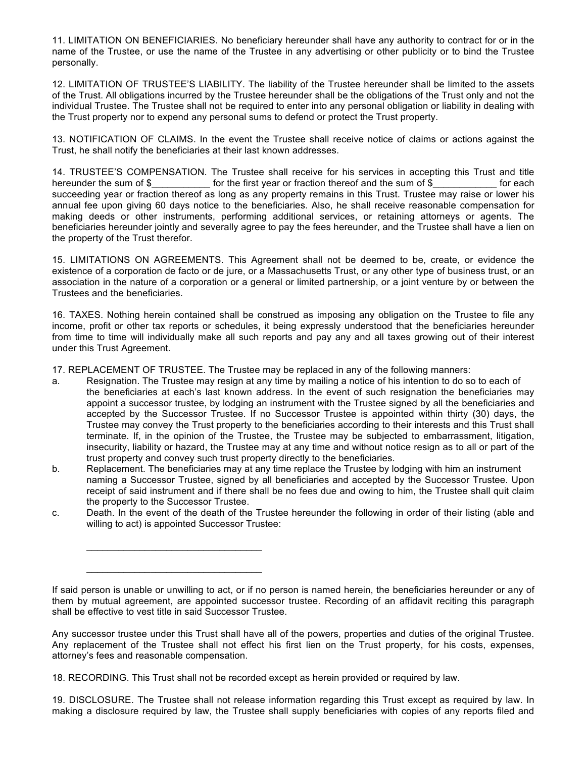11. LIMITATION ON BENEFICIARIES. No beneficiary hereunder shall have any authority to contract for or in the name of the Trustee, or use the name of the Trustee in any advertising or other publicity or to bind the Trustee personally.

12. LIMITATION OF TRUSTEE'S LIABILITY. The liability of the Trustee hereunder shall be limited to the assets of the Trust. All obligations incurred by the Trustee hereunder shall be the obligations of the Trust only and not the individual Trustee. The Trustee shall not be required to enter into any personal obligation or liability in dealing with the Trust property nor to expend any personal sums to defend or protect the Trust property.

13. NOTIFICATION OF CLAIMS. In the event the Trustee shall receive notice of claims or actions against the Trust, he shall notify the beneficiaries at their last known addresses.

14. TRUSTEE'S COMPENSATION. The Trustee shall receive for his services in accepting this Trust and title hereunder the sum of \$ for the first year or fraction thereof and the sum of \$ for each succeeding year or fraction thereof as long as any property remains in this Trust. Trustee may raise or lower his annual fee upon giving 60 days notice to the beneficiaries. Also, he shall receive reasonable compensation for making deeds or other instruments, performing additional services, or retaining attorneys or agents. The beneficiaries hereunder jointly and severally agree to pay the fees hereunder, and the Trustee shall have a lien on the property of the Trust therefor.

15. LIMITATIONS ON AGREEMENTS. This Agreement shall not be deemed to be, create, or evidence the existence of a corporation de facto or de jure, or a Massachusetts Trust, or any other type of business trust, or an association in the nature of a corporation or a general or limited partnership, or a joint venture by or between the Trustees and the beneficiaries.

16. TAXES. Nothing herein contained shall be construed as imposing any obligation on the Trustee to file any income, profit or other tax reports or schedules, it being expressly understood that the beneficiaries hereunder from time to time will individually make all such reports and pay any and all taxes growing out of their interest under this Trust Agreement.

17. REPLACEMENT OF TRUSTEE. The Trustee may be replaced in any of the following manners:

- a. Resignation. The Trustee may resign at any time by mailing a notice of his intention to do so to each of the beneficiaries at each's last known address. In the event of such resignation the beneficiaries may appoint a successor trustee, by lodging an instrument with the Trustee signed by all the beneficiaries and accepted by the Successor Trustee. If no Successor Trustee is appointed within thirty (30) days, the Trustee may convey the Trust property to the beneficiaries according to their interests and this Trust shall terminate. If, in the opinion of the Trustee, the Trustee may be subjected to embarrassment, litigation, insecurity, liability or hazard, the Trustee may at any time and without notice resign as to all or part of the trust property and convey such trust property directly to the beneficiaries.
- b. Replacement. The beneficiaries may at any time replace the Trustee by lodging with him an instrument naming a Successor Trustee, signed by all beneficiaries and accepted by the Successor Trustee. Upon receipt of said instrument and if there shall be no fees due and owing to him, the Trustee shall quit claim the property to the Successor Trustee.
- c. Death. In the event of the death of the Trustee hereunder the following in order of their listing (able and willing to act) is appointed Successor Trustee:

18. RECORDING. This Trust shall not be recorded except as herein provided or required by law.

\_\_\_\_\_\_\_\_\_\_\_\_\_\_\_\_\_\_\_\_\_\_\_\_\_\_\_\_\_\_\_\_\_

 $\mathcal{L}_\text{max}$  , and the set of the set of the set of the set of the set of the set of the set of the set of the set of the set of the set of the set of the set of the set of the set of the set of the set of the set of the

19. DISCLOSURE. The Trustee shall not release information regarding this Trust except as required by law. In making a disclosure required by law, the Trustee shall supply beneficiaries with copies of any reports filed and

If said person is unable or unwilling to act, or if no person is named herein, the beneficiaries hereunder or any of them by mutual agreement, are appointed successor trustee. Recording of an affidavit reciting this paragraph shall be effective to vest title in said Successor Trustee.

Any successor trustee under this Trust shall have all of the powers, properties and duties of the original Trustee. Any replacement of the Trustee shall not effect his first lien on the Trust property, for his costs, expenses, attorney's fees and reasonable compensation.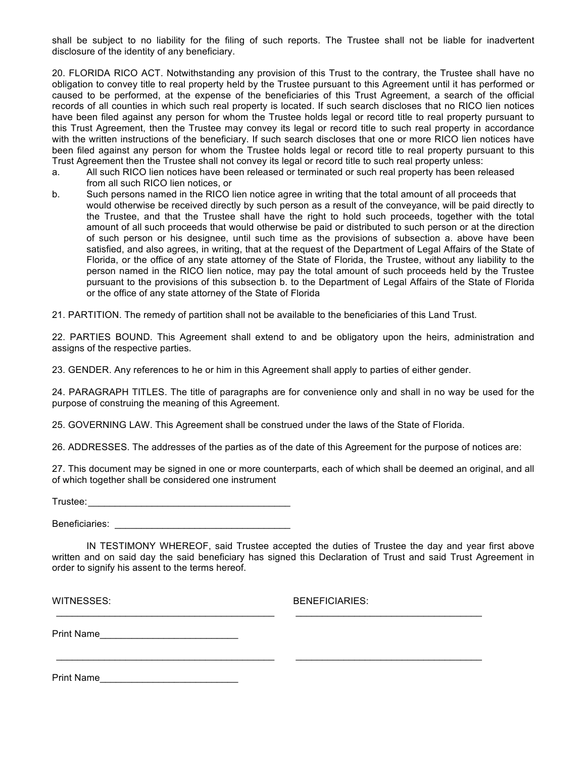shall be subject to no liability for the filing of such reports. The Trustee shall not be liable for inadvertent disclosure of the identity of any beneficiary.

20. FLORIDA RICO ACT. Notwithstanding any provision of this Trust to the contrary, the Trustee shall have no obligation to convey title to real property held by the Trustee pursuant to this Agreement until it has performed or caused to be performed, at the expense of the beneficiaries of this Trust Agreement, a search of the official records of all counties in which such real property is located. If such search discloses that no RICO lien notices have been filed against any person for whom the Trustee holds legal or record title to real property pursuant to this Trust Agreement, then the Trustee may convey its legal or record title to such real property in accordance with the written instructions of the beneficiary. If such search discloses that one or more RICO lien notices have been filed against any person for whom the Trustee holds legal or record title to real property pursuant to this Trust Agreement then the Trustee shall not convey its legal or record title to such real property unless:

- a. All such RICO lien notices have been released or terminated or such real property has been released from all such RICO lien notices, or
- b. Such persons named in the RICO lien notice agree in writing that the total amount of all proceeds that would otherwise be received directly by such person as a result of the conveyance, will be paid directly to the Trustee, and that the Trustee shall have the right to hold such proceeds, together with the total amount of all such proceeds that would otherwise be paid or distributed to such person or at the direction of such person or his designee, until such time as the provisions of subsection a. above have been satisfied, and also agrees, in writing, that at the request of the Department of Legal Affairs of the State of Florida, or the office of any state attorney of the State of Florida, the Trustee, without any liability to the person named in the RICO lien notice, may pay the total amount of such proceeds held by the Trustee pursuant to the provisions of this subsection b. to the Department of Legal Affairs of the State of Florida or the office of any state attorney of the State of Florida

21. PARTITION. The remedy of partition shall not be available to the beneficiaries of this Land Trust.

22. PARTIES BOUND. This Agreement shall extend to and be obligatory upon the heirs, administration and assigns of the respective parties.

23. GENDER. Any references to he or him in this Agreement shall apply to parties of either gender.

24. PARAGRAPH TITLES. The title of paragraphs are for convenience only and shall in no way be used for the purpose of construing the meaning of this Agreement.

25. GOVERNING LAW. This Agreement shall be construed under the laws of the State of Florida.

26. ADDRESSES. The addresses of the parties as of the date of this Agreement for the purpose of notices are:

27. This document may be signed in one or more counterparts, each of which shall be deemed an original, and all of which together shall be considered one instrument

Trustee:\_\_\_\_\_\_\_\_\_\_\_\_\_\_\_\_\_\_\_\_\_\_\_\_\_\_\_\_\_\_\_\_\_\_\_\_\_\_

Beneficiaries:

IN TESTIMONY WHEREOF, said Trustee accepted the duties of Trustee the day and year first above written and on said day the said beneficiary has signed this Declaration of Trust and said Trust Agreement in order to signify his assent to the terms hereof.

\_\_\_\_\_\_\_\_\_\_\_\_\_\_\_\_\_\_\_\_\_\_\_\_\_\_\_\_\_\_\_\_\_\_\_\_\_\_\_\_\_ \_\_\_\_\_\_\_\_\_\_\_\_\_\_\_\_\_\_\_\_\_\_\_\_\_\_\_\_\_\_\_\_\_\_\_

\_\_\_\_\_\_\_\_\_\_\_\_\_\_\_\_\_\_\_\_\_\_\_\_\_\_\_\_\_\_\_\_\_\_\_\_\_\_\_\_\_ \_\_\_\_\_\_\_\_\_\_\_\_\_\_\_\_\_\_\_\_\_\_\_\_\_\_\_\_\_\_\_\_\_\_\_

WITNESSES: BENEFICIARIES:

Print Name\_\_\_\_\_\_\_\_\_\_\_\_\_\_\_\_\_\_\_\_\_\_\_\_\_\_

Print Name\_\_\_\_\_\_\_\_\_\_\_\_\_\_\_\_\_\_\_\_\_\_\_\_\_\_